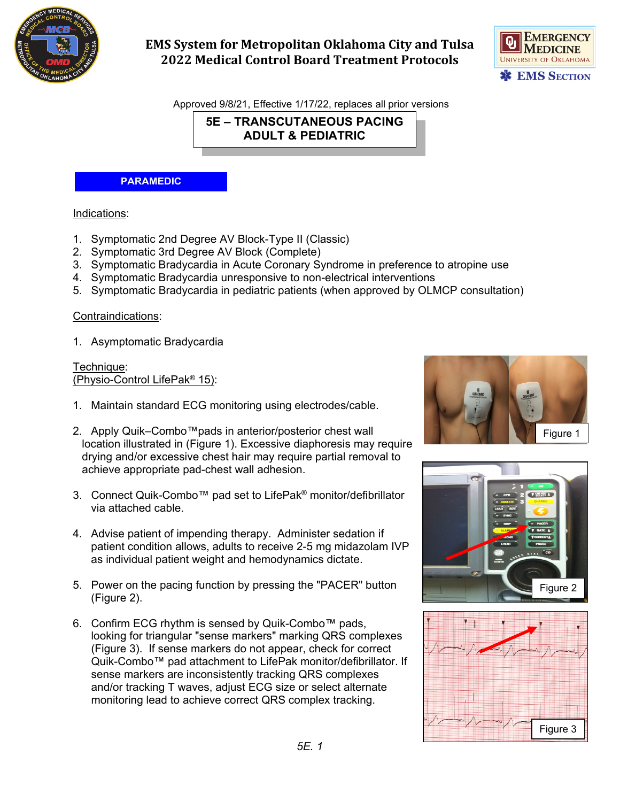

# **EMS System for Metropolitan Oklahoma City and Tulsa 2022 Medical Control Board Treatment Protocols**



Approved 9/8/21, Effective 1/17/22, replaces all prior versions

**5E – TRANSCUTANEOUS PACING ADULT & PEDIATRIC**

#### **PARAMEDIC**

#### Indications:

- 1. Symptomatic 2nd Degree AV Block-Type II (Classic)
- 2. Symptomatic 3rd Degree AV Block (Complete)
- 3. Symptomatic Bradycardia in Acute Coronary Syndrome in preference to atropine use
- 4. Symptomatic Bradycardia unresponsive to non-electrical interventions
- 5. Symptomatic Bradycardia in pediatric patients (when approved by OLMCP consultation)

### Contraindications:

1. Asymptomatic Bradycardia

Technique: (Physio-Control LifePak® 15):

- 1. Maintain standard ECG monitoring using electrodes/cable.
- 2. Apply Quik–Combo™pads in anterior/posterior chest wall location illustrated in (Figure 1). Excessive diaphoresis may require drying and/or excessive chest hair may require partial removal to achieve appropriate pad-chest wall adhesion.
- 3. Connect Quik-Combo™ pad set to LifePak® monitor/defibrillator via attached cable.
- 4. Advise patient of impending therapy. Administer sedation if patient condition allows, adults to receive 2-5 mg midazolam IVP as individual patient weight and hemodynamics dictate.
- 5. Power on the pacing function by pressing the "PACER" button (Figure 2).
- 6. Confirm ECG rhythm is sensed by Quik-Combo™ pads, looking for triangular "sense markers" marking QRS complexes (Figure 3). If sense markers do not appear, check for correct Quik-Combo™ pad attachment to LifePak monitor/defibrillator. If sense markers are inconsistently tracking QRS complexes and/or tracking T waves, adjust ECG size or select alternate monitoring lead to achieve correct QRS complex tracking.





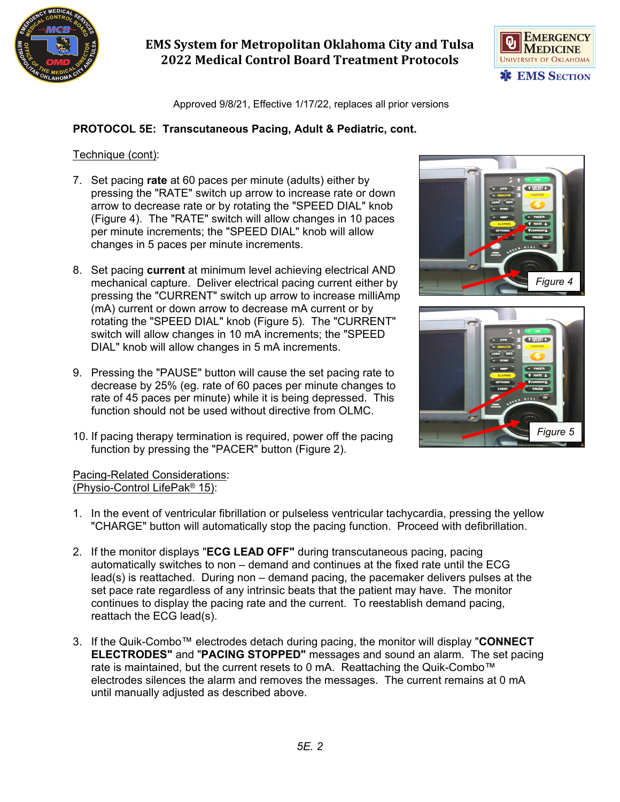

# **EMS System for Metropolitan Oklahoma City and Tulsa 2022 Medical Control Board Treatment Protocols**



Approved 9/8/21, Effective 1/17/22, replaces all prior versions

## **PROTOCOL 5E: Transcutaneous Pacing, Adult & Pediatric, cont.**

### Technique (cont):

- 7. Set pacing **rate** at 60 paces per minute (adults) either by pressing the "RATE" switch up arrow to increase rate or down arrow to decrease rate or by rotating the "SPEED DIAL" knob (Figure 4). The "RATE" switch will allow changes in 10 paces per minute increments; the "SPEED DIAL" knob will allow changes in 5 paces per minute increments.
- 8. Set pacing **current** at minimum level achieving electrical AND mechanical capture. Deliver electrical pacing current either by pressing the "CURRENT" switch up arrow to increase milliAmp (mA) current or down arrow to decrease mA current or by rotating the "SPEED DIAL" knob (Figure 5). The "CURRENT" switch will allow changes in 10 mA increments; the "SPEED DIAL" knob will allow changes in 5 mA increments.
- 9. Pressing the "PAUSE" button will cause the set pacing rate to decrease by 25% (eg. rate of 60 paces per minute changes to rate of 45 paces per minute) while it is being depressed. This function should not be used without directive from OLMC.
- 10. If pacing therapy termination is required, power off the pacing function by pressing the "PACER" button (Figure 2).





### Pacing-Related Considerations: (Physio-Control LifePak® 15):

- 1. In the event of ventricular fibrillation or pulseless ventricular tachycardia, pressing the yellow "CHARGE" button will automatically stop the pacing function. Proceed with defibrillation.
- 2. If the monitor displays "**ECG LEAD OFF"** during transcutaneous pacing, pacing automatically switches to non – demand and continues at the fixed rate until the ECG lead(s) is reattached. During non – demand pacing, the pacemaker delivers pulses at the set pace rate regardless of any intrinsic beats that the patient may have. The monitor continues to display the pacing rate and the current. To reestablish demand pacing, reattach the ECG lead(s).
- 3. If the Quik-Combo™ electrodes detach during pacing, the monitor will display "**CONNECT ELECTRODES"** and "**PACING STOPPED"** messages and sound an alarm. The set pacing rate is maintained, but the current resets to 0 mA. Reattaching the Quik-Combo<sup>™</sup> electrodes silences the alarm and removes the messages. The current remains at 0 mA until manually adjusted as described above.